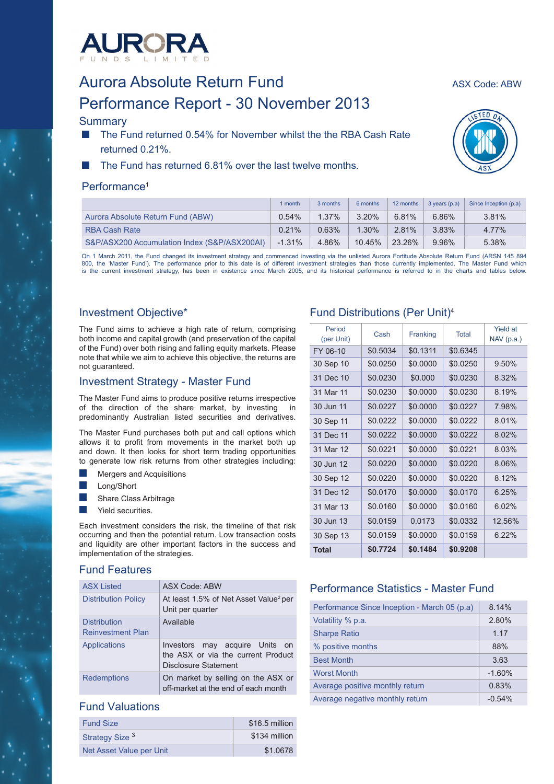

# Aurora Absolute Return Fund<br>Aurora Absolute Return Fund Performance Report - 30 November 2013

## **Summary**

- The Fund returned 0.54% for November whilst the the RBA Cash Rate returned 0.21%.
- The Fund has returned 6.81% over the last twelve months.

## Performance<sup>1</sup>

|                                              | 1 month  | 3 months | 6 months | 12 months | $3$ years $(p.a)$ | Since Inception (p.a) |
|----------------------------------------------|----------|----------|----------|-----------|-------------------|-----------------------|
| Aurora Absolute Return Fund (ABW)            | $0.54\%$ | $1.37\%$ | 3.20%    | 6.81%     | $6.86\%$          | 3.81%                 |
| <b>RBA Cash Rate</b>                         | 0.21%    | 0.63%    | $1.30\%$ | 2.81%     | $3.83\%$          | 4.77%                 |
| S&P/ASX200 Accumulation Index (S&P/ASX200AI) | $-1.31%$ | 4.86%    | 10.45%   | 23.26%    | $9.96\%$          | 5.38%                 |

On 1 March 2011, the Fund changed its investment strategy and commenced investing via the unlisted Aurora Fortitude Absolute Return Fund (ARSN 145 894 800, the 'Master Fund'). The performance prior to this date is of different investment strategies than those currently implemented. The Master Fund which is the current investment strategy, has been in existence since March 2005, and its historical performance is referred to in the charts and tables below.

# Investment Objective\*

The Fund aims to achieve a high rate of return, comprising both income and capital growth (and preservation of the capital of the Fund) over both rising and falling equity markets. Please note that while we aim to achieve this objective, the returns are not guaranteed.

# Investment Strategy - Master Fund

The Master Fund aims to produce positive returns irrespective of the direction of the share market, by investing in predominantly Australian listed securities and derivatives.

The Master Fund purchases both put and call options which allows it to profit from movements in the market both up and down. It then looks for short term trading opportunities to generate low risk returns from other strategies including:

- Mergers and Acquisitions
- Long/Short
- Share Class Arbitrage
- Yield securities.

Each investment considers the risk, the timeline of that risk occurring and then the potential return. Low transaction costs and liquidity are other important factors in the success and implementation of the strategies.

# Fund Features

| <b>ASX Listed</b>          | <b>ASX Code: ABW</b>                                                                            |
|----------------------------|-------------------------------------------------------------------------------------------------|
| <b>Distribution Policy</b> | At least 1.5% of Net Asset Value <sup>2</sup> per<br>Unit per quarter                           |
| <b>Distribution</b>        | Available                                                                                       |
| <b>Reinvestment Plan</b>   |                                                                                                 |
| <b>Applications</b>        | Investors may acquire Units<br>on<br>the ASX or via the current Product<br>Disclosure Statement |
| <b>Redemptions</b>         | On market by selling on the ASX or<br>off-market at the end of each month                       |

# Fund Valuations

| <b>Fund Size</b>           | \$16.5 million |
|----------------------------|----------------|
| Strategy Size <sup>3</sup> | \$134 million  |
| Net Asset Value per Unit   | \$1,0678       |

# Fund Distributions (Per Unit)4

| Period<br>(per Unit) | Cash     | Franking | <b>Total</b> | Yield at<br>$NAV$ (p.a.) |
|----------------------|----------|----------|--------------|--------------------------|
| FY 06-10             | \$0.5034 | \$0.1311 | \$0.6345     |                          |
| 30 Sep 10            | \$0.0250 | \$0.0000 | \$0.0250     | 9.50%                    |
| 31 Dec 10            | \$0.0230 | \$0.000  | \$0.0230     | 8.32%                    |
| 31 Mar 11            | \$0.0230 | \$0.0000 | \$0.0230     | 8.19%                    |
| 30 Jun 11            | \$0.0227 | \$0.0000 | \$0.0227     | 7.98%                    |
| 30 Sep 11            | \$0.0222 | \$0.0000 | \$0.0222     | 8.01%                    |
| 31 Dec 11            | \$0.0222 | \$0.0000 | \$0.0222     | 8.02%                    |
| 31 Mar 12            | \$0.0221 | \$0.0000 | \$0.0221     | 8.03%                    |
| 30 Jun 12            | \$0.0220 | \$0.0000 | \$0.0220     | 8.06%                    |
| 30 Sep 12            | \$0.0220 | \$0.0000 | \$0.0220     | 8.12%                    |
| 31 Dec 12            | \$0.0170 | \$0.0000 | \$0.0170     | 6.25%                    |
| 31 Mar 13            | \$0.0160 | \$0.0000 | \$0.0160     | $6.02\%$                 |
| 30 Jun 13            | \$0.0159 | 0.0173   | \$0.0332     | 12.56%                   |
| 30 Sep 13            | \$0.0159 | \$0.0000 | \$0.0159     | $6.22\%$                 |
| Total                | \$0.7724 | \$0.1484 | \$0.9208     |                          |

# Performance Statistics - Master Fund

| Performance Since Inception - March 05 (p.a) | 8.14%    |
|----------------------------------------------|----------|
| Volatility % p.a.                            | 2.80%    |
| <b>Sharpe Ratio</b>                          | 1.17     |
| % positive months                            | 88%      |
| <b>Best Month</b>                            | 3.63     |
| <b>Worst Month</b>                           | $-1.60%$ |
| Average positive monthly return              | 0.83%    |
| Average negative monthly return              | $-0.54%$ |